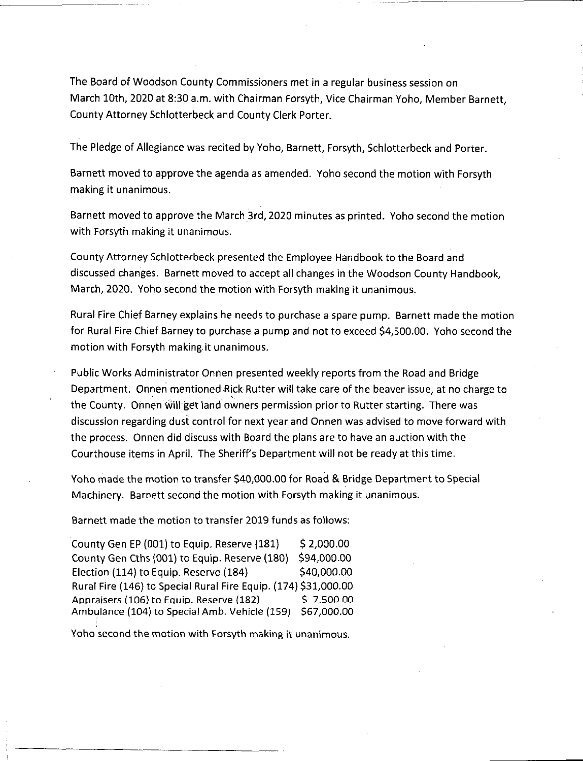The Board of Woodson County Commissioners met in a regular business session on March 10th, 2020 at 8:30 a.m. with Chairman Forsyth, Vice Chairman Yoho, Member Barnett, County Attorney Schlotterbeck and County Clerk Porter.

The Pledge of Allegiance was recited by Yoho, Barnett, Forsyth, Schlotterbeck and Porter.

Barnett moved to approve the agenda as amended. Yoho second the motion with Forsyth making it unanimous.

Barnett moved to approve the March 3rd, 2020 minutes as printed. Yoho second the motion with Forsyth making it unanimous.

County Attorney Schlotterbeck presented the Employee Handbook to the Board and discussed changes. Barnett moved to accept all changes in the Woodson County Handbook, March, 2020. Yoho second the motion with Forsyth making it unanimous.

Rural Fire Chief Barney explains he needs to purchase <sup>a</sup> spare pump. Barnett made the motion for Rural Fire Chief Barney to purchase <sup>a</sup> pump and not to exceed \$4,500.00. Yoho second the motion with Forsyth making it unanimous.

Public Works Administrator Onnen presented weekly reports from the Road and Bridge Department. Onnen mentioned Rick Rutter will take care of the beaver issue, at no charge to the County. Onnen will get land owners permission prior to Rutter starting. There was discussion regarding dust control for next year and Onnen was advised to move forward with the process. Onnen did discuss with Board the plans are to have an auction with the Courthouse items in April. The Sheriff's Department will not be ready at this time.

Yoho made the motion to transfer \$40,000.00 for Road & Bridge Department to Special Machinery. Barnett second the motion with Forsyth making it unanimous.

Barnett made the motion to transfer 2019 funds as follows:

County Gen EP  $(001)$  to Equip. Reserve  $(181)$  \$ 2,000.00 County Gen Cths (001) to Equip. Reserve (180) \$94,000.00 \$40,000.00 Rural Fire (146) to Special Rural Fire Equip. (174) \$31,000.00 Appraisers (106) to Equip. Reserve (182) Ambulance (104) to Special Amb. Vehicle (159) \$67,000.00 Election (114) to Equip. Reserve (184) \$ 7.500.00

Yoho second the motion with Forsyth making it unanimous.

**i**